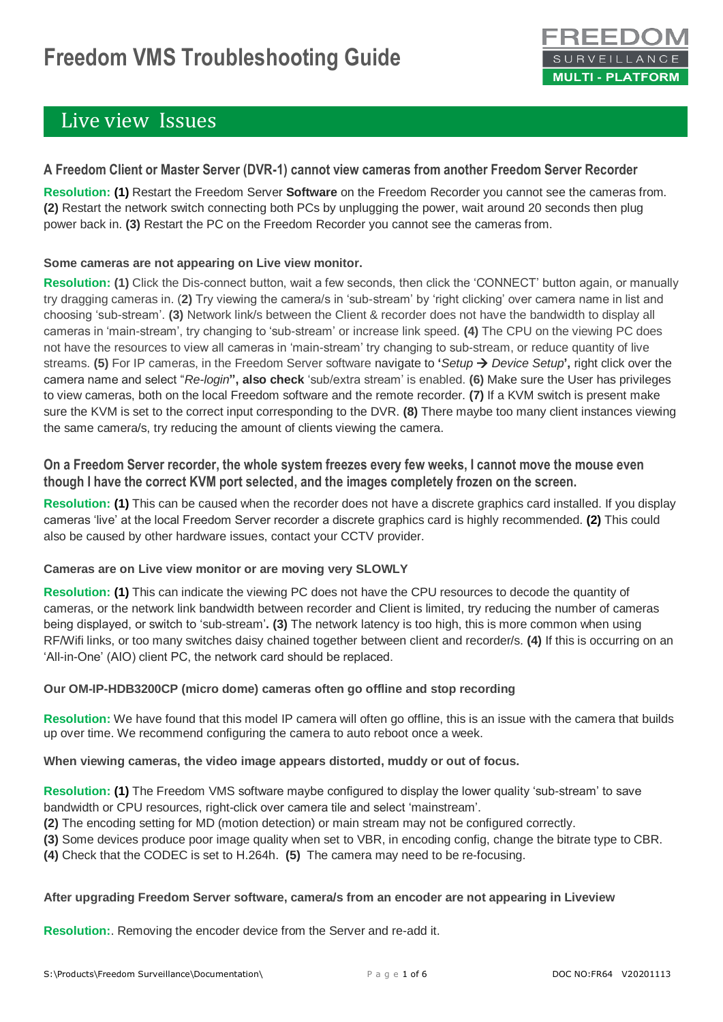# **Freedom VMS Troubleshooting Guide**



### Live view Issues

#### **A Freedom Client or Master Server (DVR-1) cannot view cameras from another Freedom Server Recorder**

**Resolution: (1)** Restart the Freedom Server **Software** on the Freedom Recorder you cannot see the cameras from. **(2)** Restart the network switch connecting both PCs by unplugging the power, wait around 20 seconds then plug power back in. **(3)** Restart the PC on the Freedom Recorder you cannot see the cameras from.

#### **Some cameras are not appearing on Live view monitor.**

**Resolution: (1)** Click the Dis-connect button, wait a few seconds, then click the 'CONNECT' button again, or manually try dragging cameras in. (**2)** Try viewing the camera/s in 'sub-stream' by 'right clicking' over camera name in list and choosing 'sub-stream'. **(3)** Network link/s between the Client & recorder does not have the bandwidth to display all cameras in 'main-stream', try changing to 'sub-stream' or increase link speed. **(4)** The CPU on the viewing PC does not have the resources to view all cameras in 'main-stream' try changing to sub-stream, or reduce quantity of live streams. **(5)** For IP cameras, in the Freedom Server software navigate to **'***Setup Device Setup***',** right click over the camera name and select "*Re-login***", also check** 'sub/extra stream' is enabled. **(6)** Make sure the User has privileges to view cameras, both on the local Freedom software and the remote recorder. **(7)** If a KVM switch is present make sure the KVM is set to the correct input corresponding to the DVR. **(8)** There maybe too many client instances viewing the same camera/s, try reducing the amount of clients viewing the camera.

#### **On a Freedom Server recorder, the whole system freezes every few weeks, I cannot move the mouse even though I have the correct KVM port selected, and the images completely frozen on the screen.**

**Resolution: (1)** This can be caused when the recorder does not have a discrete graphics card installed. If you display cameras 'live' at the local Freedom Server recorder a discrete graphics card is highly recommended. **(2)** This could also be caused by other hardware issues, contact your CCTV provider.

#### **Cameras are on Live view monitor or are moving very SLOWLY**

**Resolution: (1)** This can indicate the viewing PC does not have the CPU resources to decode the quantity of cameras, or the network link bandwidth between recorder and Client is limited, try reducing the number of cameras being displayed, or switch to 'sub-stream'**. (3)** The network latency is too high, this is more common when using RF/Wifi links, or too many switches daisy chained together between client and recorder/s. **(4)** If this is occurring on an 'All-in-One' (AIO) client PC, the network card should be replaced.

#### **Our OM-IP-HDB3200CP (micro dome) cameras often go offline and stop recording**

**Resolution:** We have found that this model IP camera will often go offline, this is an issue with the camera that builds up over time. We recommend configuring the camera to auto reboot once a week.

**When viewing cameras, the video image appears distorted, muddy or out of focus.**

**Resolution: (1)** The Freedom VMS software maybe configured to display the lower quality 'sub-stream' to save bandwidth or CPU resources, right-click over camera tile and select 'mainstream'.

**(2)** The encoding setting for MD (motion detection) or main stream may not be configured correctly.

- **(3)** Some devices produce poor image quality when set to VBR, in encoding config, change the bitrate type to CBR.
- **(4)** Check that the CODEC is set to H.264h. **(5)** The camera may need to be re-focusing.

#### **After upgrading Freedom Server software, camera/s from an encoder are not appearing in Liveview**

**Resolution:**. Removing the encoder device from the Server and re-add it.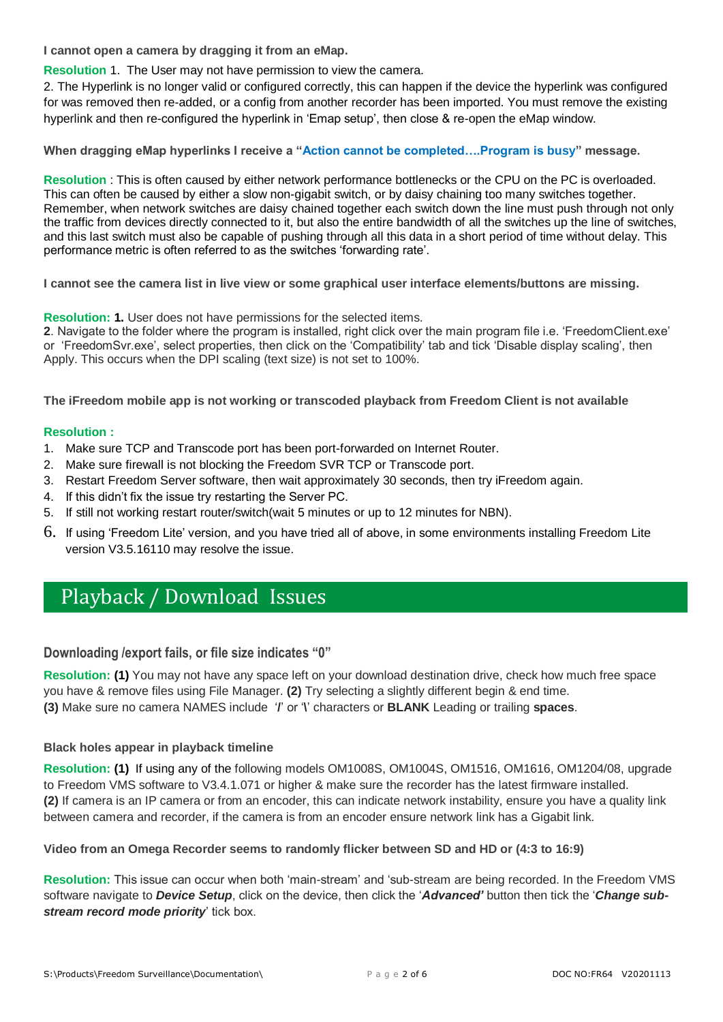**I cannot open a camera by dragging it from an eMap.** 

**Resolution** 1. The User may not have permission to view the camera.

2. The Hyperlink is no longer valid or configured correctly, this can happen if the device the hyperlink was configured for was removed then re-added, or a config from another recorder has been imported. You must remove the existing hyperlink and then re-configured the hyperlink in 'Emap setup', then close & re-open the eMap window.

**When dragging eMap hyperlinks I receive a "Action cannot be completed….Program is busy" message.** 

**Resolution** : This is often caused by either network performance bottlenecks or the CPU on the PC is overloaded. This can often be caused by either a slow non-gigabit switch, or by daisy chaining too many switches together. Remember, when network switches are daisy chained together each switch down the line must push through not only the traffic from devices directly connected to it, but also the entire bandwidth of all the switches up the line of switches, and this last switch must also be capable of pushing through all this data in a short period of time without delay. This performance metric is often referred to as the switches 'forwarding rate'.

**I cannot see the camera list in live view or some graphical user interface elements/buttons are missing.**

#### **Resolution: 1.** User does not have permissions for the selected items.

**2**. Navigate to the folder where the program is installed, right click over the main program file i.e. 'FreedomClient.exe' or 'FreedomSvr.exe', select properties, then click on the 'Compatibility' tab and tick 'Disable display scaling', then Apply. This occurs when the DPI scaling (text size) is not set to 100%.

**The iFreedom mobile app is not working or transcoded playback from Freedom Client is not available**

#### **Resolution :**

- 1. Make sure TCP and Transcode port has been port-forwarded on Internet Router.
- 2. Make sure firewall is not blocking the Freedom SVR TCP or Transcode port.
- 3. Restart Freedom Server software, then wait approximately 30 seconds, then try iFreedom again.
- 4. If this didn't fix the issue try restarting the Server PC.
- 5. If still not working restart router/switch(wait 5 minutes or up to 12 minutes for NBN).
- 6. If using 'Freedom Lite' version, and you have tried all of above, in some environments installing Freedom Lite version V3.5.16110 may resolve the issue.

### Playback / Download Issues

#### **Downloading /export fails, or file size indicates "0"**

**Resolution: (1)** You may not have any space left on your download destination drive, check how much free space you have & remove files using File Manager. **(2)** Try selecting a slightly different begin & end time. **(3)** Make sure no camera NAMES include '**/**' or '**\**' characters or **BLANK** Leading or trailing **spaces**.

#### **Black holes appear in playback timeline**

**Resolution: (1)** If using any of the following models OM1008S, OM1004S, OM1516, OM1616, OM1204/08, upgrade to Freedom VMS software to V3.4.1.071 or higher & make sure the recorder has the latest firmware installed. **(2)** If camera is an IP camera or from an encoder, this can indicate network instability, ensure you have a quality link between camera and recorder, if the camera is from an encoder ensure network link has a Gigabit link.

**Video from an Omega Recorder seems to randomly flicker between SD and HD or (4:3 to 16:9)**

**Resolution:** This issue can occur when both 'main-stream' and 'sub-stream are being recorded. In the Freedom VMS software navigate to *Device Setup*, click on the device, then click the '*Advanced'* button then tick the '*Change substream record mode priority*' tick box.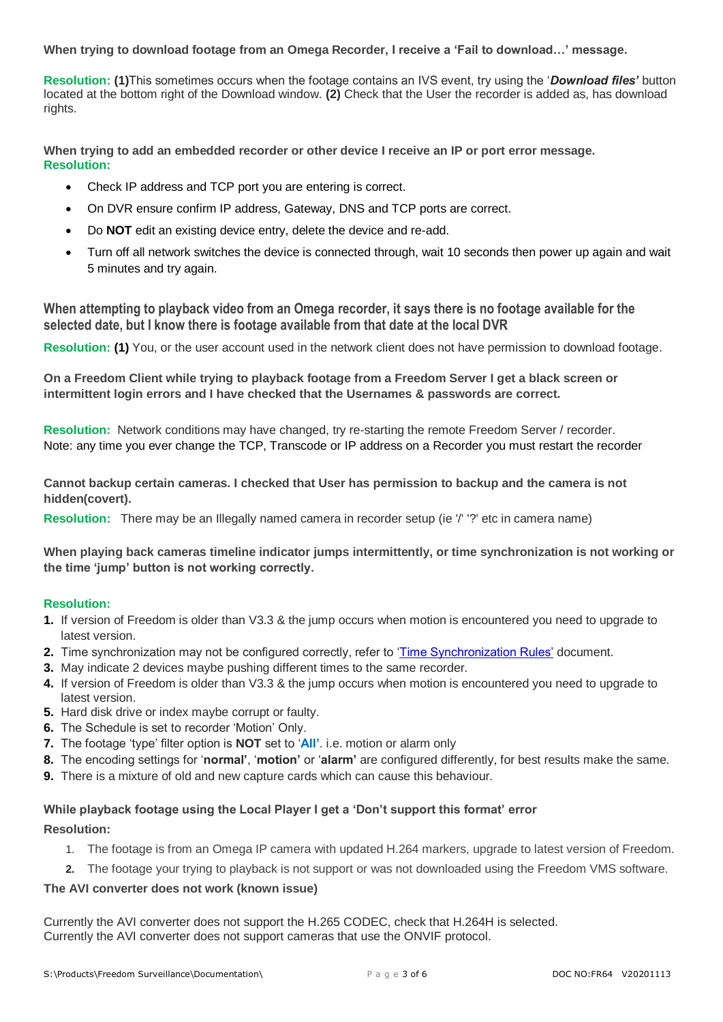**When trying to download footage from an Omega Recorder, I receive a 'Fail to download…' message.**

**Resolution: (1)**This sometimes occurs when the footage contains an IVS event, try using the '*Download files'* button located at the bottom right of the Download window. **(2)** Check that the User the recorder is added as, has download rights.

**When trying to add an embedded recorder or other device I receive an IP or port error message. Resolution:**

- Check IP address and TCP port you are entering is correct.
- On DVR ensure confirm IP address, Gateway, DNS and TCP ports are correct.
- Do **NOT** edit an existing device entry, delete the device and re-add.
- Turn off all network switches the device is connected through, wait 10 seconds then power up again and wait 5 minutes and try again.

**When attempting to playback video from an Omega recorder, it says there is no footage available for the selected date, but I know there is footage available from that date at the local DVR**

**Resolution: (1)** You, or the user account used in the network client does not have permission to download footage.

**On a Freedom Client while trying to playback footage from a Freedom Server I get a black screen or intermittent login errors and I have checked that the Usernames & passwords are correct.**

**Resolution:** Network conditions may have changed, try re-starting the remote Freedom Server / recorder. Note: any time you ever change the TCP, Transcode or IP address on a Recorder you must restart the recorder

#### **Cannot backup certain cameras. I checked that User has permission to backup and the camera is not hidden(covert).**

**Resolution:** There may be an Illegally named camera in recorder setup (ie '/' '?' etc in camera name)

**When playing back cameras timeline indicator jumps intermittently, or time synchronization is not working or the time 'jump' button is not working correctly.**

#### **Resolution:**

- **1.** If version of Freedom is older than V3.3 & the jump occurs when motion is encountered you need to upgrade to latest version.
- **2.** Time synchronization may not be configured correctly, refer to ['Time Synchronization Rules'](http://www.camvex.com.au/manuals/freedom/Time%20Synchronization%20RULES.pdf) document.
- **3.** May indicate 2 devices maybe pushing different times to the same recorder.
- **4.** If version of Freedom is older than V3.3 & the jump occurs when motion is encountered you need to upgrade to latest version.
- **5.** Hard disk drive or index maybe corrupt or faulty.
- **6.** The Schedule is set to recorder 'Motion' Only.
- **7.** The footage 'type' filter option is **NOT** set to '**All'**. i.e. motion or alarm only
- **8.** The encoding settings for '**normal'**, '**motion'** or '**alarm'** are configured differently, for best results make the same.
- **9.** There is a mixture of old and new capture cards which can cause this behaviour.

#### **While playback footage using the Local Player I get a 'Don't support this format' error**

#### **Resolution:**

- 1. The footage is from an Omega IP camera with updated H.264 markers, upgrade to latest version of Freedom.
- **2.** The footage your trying to playback is not support or was not downloaded using the Freedom VMS software.

#### **The AVI converter does not work (known issue)**

Currently the AVI converter does not support the H.265 CODEC, check that H.264H is selected. Currently the AVI converter does not support cameras that use the ONVIF protocol.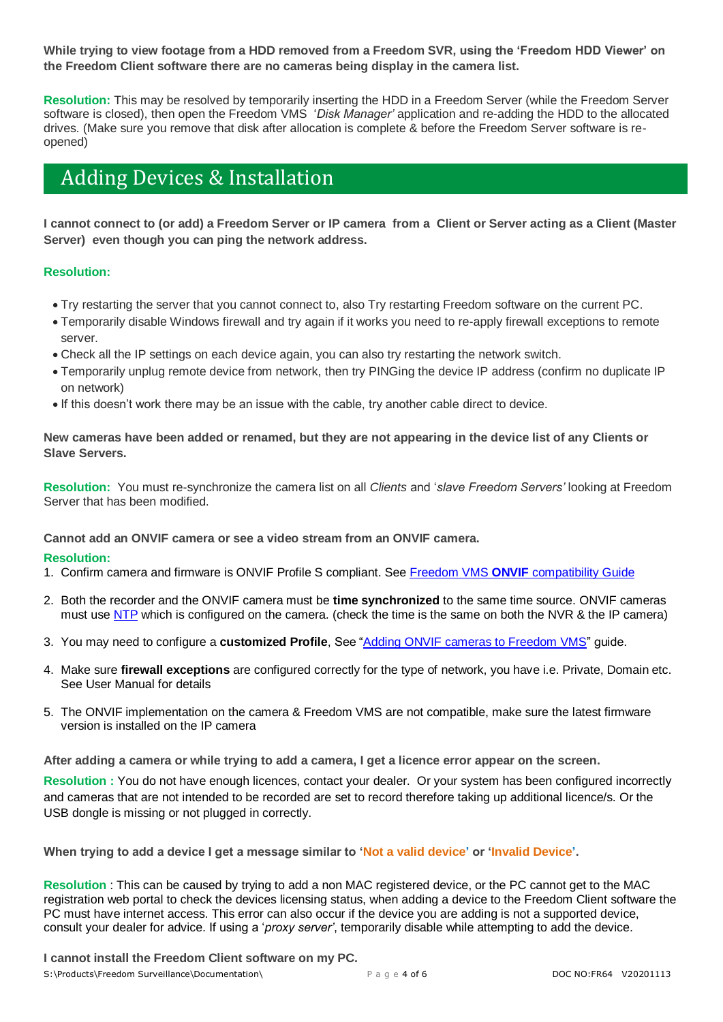**While trying to view footage from a HDD removed from a Freedom SVR, using the 'Freedom HDD Viewer' on the Freedom Client software there are no cameras being display in the camera list.**

**Resolution:** This may be resolved by temporarily inserting the HDD in a Freedom Server (while the Freedom Server software is closed), then open the Freedom VMS '*Disk Manager'* application and re-adding the HDD to the allocated drives. (Make sure you remove that disk after allocation is complete & before the Freedom Server software is reopened)

### Adding Devices & Installation

**I cannot connect to (or add) a Freedom Server or IP camera from a Client or Server acting as a Client (Master Server) even though you can ping the network address.** 

#### **Resolution:**

- Try restarting the server that you cannot connect to, also Try restarting Freedom software on the current PC.
- Temporarily disable Windows firewall and try again if it works you need to re-apply firewall exceptions to remote server.
- Check all the IP settings on each device again, you can also try restarting the network switch.
- Temporarily unplug remote device from network, then try PINGing the device IP address (confirm no duplicate IP on network)
- If this doesn't work there may be an issue with the cable, try another cable direct to device.

**New cameras have been added or renamed, but they are not appearing in the device list of any Clients or Slave Servers.**

**Resolution:** You must re-synchronize the camera list on all *Clients* and '*slave Freedom Servers'* looking at Freedom Server that has been modified.

**Cannot add an ONVIF camera or see a video stream from an ONVIF camera.** 

#### **Resolution:**

- 1. Confirm camera and firmware is ONVIF Profile S compliant. See Freedom VMS **ONVIF** [compatibility Guide](http://www.freedomvms.com/manuals/Freedom%20VMS%20ONVIF%20compatability%20Guide.pdf)
- 2. Both the recorder and the ONVIF camera must be **time synchronized** to the same time source. ONVIF cameras must use [NTP](https://en.wikipedia.org/wiki/Network_Time_Protocol) which is configured on the camera. (check the time is the same on both the NVR & the IP camera)
- 3. You may need to configure a **customized Profile**, See ["Adding ONVIF cameras to Freedom VMS"](http://www.freedomvms.com/manuals/Adding%20an%20ONVIF%20IP%20camera%20to%20Freedom%20Server.pdf) guide.
- 4. Make sure **firewall exceptions** are configured correctly for the type of network, you have i.e. Private, Domain etc. See User Manual for details
- 5. The ONVIF implementation on the camera & Freedom VMS are not compatible, make sure the latest firmware version is installed on the IP camera

**After adding a camera or while trying to add a camera, I get a licence error appear on the screen.** 

**Resolution :** You do not have enough licences, contact your dealer. Or your system has been configured incorrectly and cameras that are not intended to be recorded are set to record therefore taking up additional licence/s. Or the USB dongle is missing or not plugged in correctly.

**When trying to add a device I get a message similar to 'Not a valid device' or 'Invalid Device'.** 

**Resolution** : This can be caused by trying to add a non MAC registered device, or the PC cannot get to the MAC registration web portal to check the devices licensing status, when adding a device to the Freedom Client software the PC must have internet access. This error can also occur if the device you are adding is not a supported device, consult your dealer for advice. If using a '*proxy server'*, temporarily disable while attempting to add the device.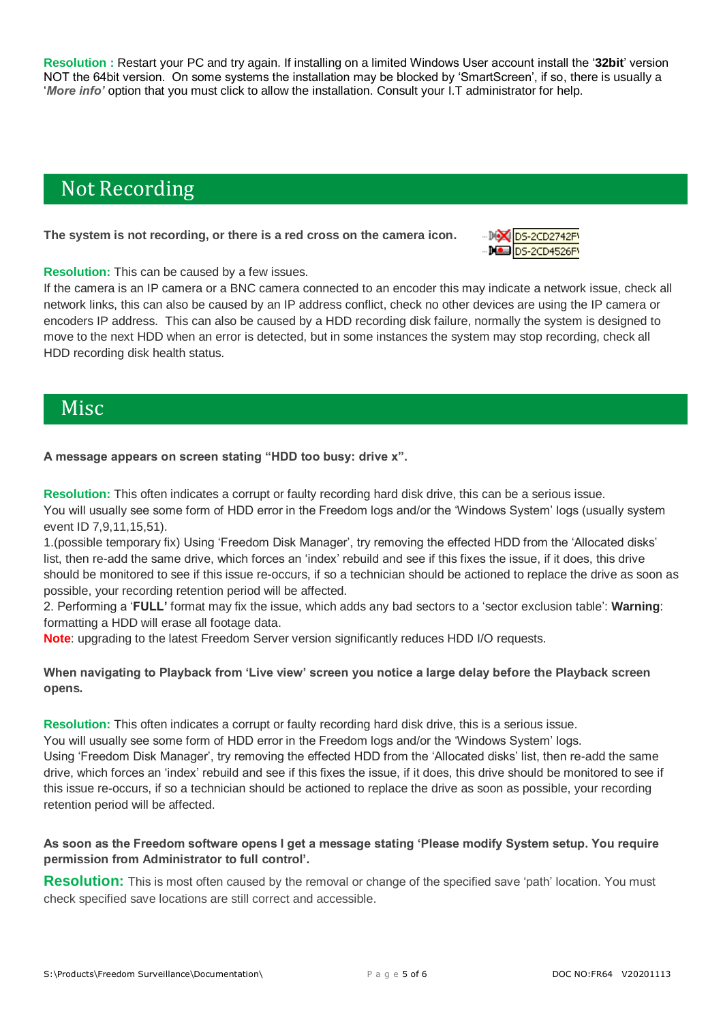**Resolution :** Restart your PC and try again. If installing on a limited Windows User account install the '**32bit**' version NOT the 64bit version. On some systems the installation may be blocked by 'SmartScreen', if so, there is usually a '*More info'* option that you must click to allow the installation. Consult your I.T administrator for help.

## Not Recording

#### **The system is not recording, or there is a red cross on the camera icon.**



#### **Resolution:** This can be caused by a few issues.

If the camera is an IP camera or a BNC camera connected to an encoder this may indicate a network issue, check all network links, this can also be caused by an IP address conflict, check no other devices are using the IP camera or encoders IP address. This can also be caused by a HDD recording disk failure, normally the system is designed to move to the next HDD when an error is detected, but in some instances the system may stop recording, check all HDD recording disk health status.

### Misc

**A message appears on screen stating "HDD too busy: drive x".**

**Resolution:** This often indicates a corrupt or faulty recording hard disk drive, this can be a serious issue. You will usually see some form of HDD error in the Freedom logs and/or the 'Windows System' logs (usually system event ID 7,9,11,15,51).

1.(possible temporary fix) Using 'Freedom Disk Manager', try removing the effected HDD from the 'Allocated disks' list, then re-add the same drive, which forces an 'index' rebuild and see if this fixes the issue, if it does, this drive should be monitored to see if this issue re-occurs, if so a technician should be actioned to replace the drive as soon as possible, your recording retention period will be affected.

2. Performing a '**FULL'** format may fix the issue, which adds any bad sectors to a 'sector exclusion table': **Warning**: formatting a HDD will erase all footage data.

**Note**: upgrading to the latest Freedom Server version significantly reduces HDD I/O requests.

**When navigating to Playback from 'Live view' screen you notice a large delay before the Playback screen opens.**

**Resolution:** This often indicates a corrupt or faulty recording hard disk drive, this is a serious issue. You will usually see some form of HDD error in the Freedom logs and/or the 'Windows System' logs. Using 'Freedom Disk Manager', try removing the effected HDD from the 'Allocated disks' list, then re-add the same drive, which forces an 'index' rebuild and see if this fixes the issue, if it does, this drive should be monitored to see if this issue re-occurs, if so a technician should be actioned to replace the drive as soon as possible, your recording retention period will be affected.

#### **As soon as the Freedom software opens I get a message stating 'Please modify System setup. You require permission from Administrator to full control'.**

**Resolution:** This is most often caused by the removal or change of the specified save 'path' location. You must check specified save locations are still correct and accessible.